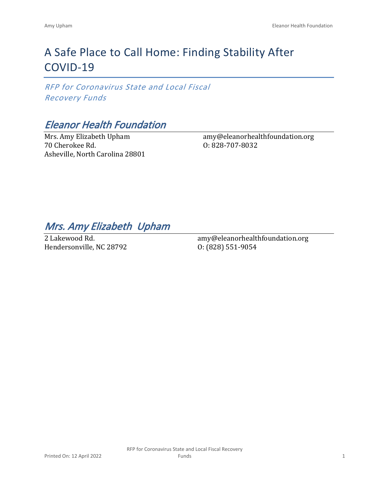# A Safe Place to Call Home: Finding Stability After COVID-19

*RFP for Coronavirus State and Local Fiscal Recovery Funds*

## *Eleanor Health Foundation*

Mrs. Amy Elizabeth Upham 70 Cherokee Rd. Asheville, North Carolina 28801 amy@eleanorhealthfoundation.org O: 828-707-8032

## *Mrs. Amy Elizabeth Upham*

2 Lakewood Rd. Hendersonville, NC 28792 amy@eleanorhealthfoundation.org O: (828) 551-9054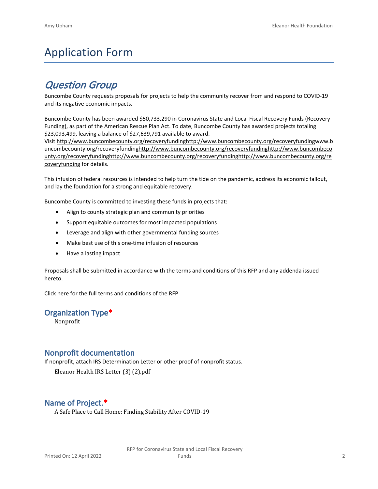# Application Form

## *Question Group*

Buncombe County requests proposals for projects to help the community recover from and respond to COVID-19 and its negative economic impacts.

Buncombe County has been awarded \$50,733,290 in Coronavirus State and Local Fiscal Recovery Funds (Recovery Funding), as part of the American Rescue Plan Act. To date, Buncombe County has awarded projects totaling \$23,093,499, leaving a balance of \$27,639,791 available to award.

Visit [http://www.buncombecounty.org/recoveryfundinghttp://www.buncombecounty.org/recoveryfundingwww.b](http://www.buncombecounty.org/recoveryfunding) [uncombecounty.org/recoveryfundinghttp://www.buncombecounty.org/recoveryfundinghttp://www.buncombeco](http://www.buncombecounty.org/recoveryfunding) [unty.org/recoveryfundinghttp://www.buncombecounty.org/recoveryfundinghttp://www.buncombecounty.org/re](http://www.buncombecounty.org/recoveryfunding) [coveryfunding](http://www.buncombecounty.org/recoveryfunding) for details.

This infusion of federal resources is intended to help turn the tide on the pandemic, address its economic fallout, and lay the foundation for a strong and equitable recovery.

Buncombe County is committed to investing these funds in projects that:

- Align to county strategic plan and community priorities
- Support equitable outcomes for most impacted populations
- Leverage and align with other governmental funding sources
- Make best use of this one-time infusion of resources
- Have a lasting impact

Proposals shall be submitted in accordance with the terms and conditions of this RFP and any addenda issued hereto.

Click [here](https://www.buncombecounty.org/common/purchasing/Buncombe%20Recovery%20Funding%20RFP%202022.pdf) for the full terms and conditions of the RFP

## **Organization Type\***

Nonprofit

## **Nonprofit documentation**

If nonprofit, attach IRS Determination Letter or other proof of nonprofit status.

Eleanor Health IRS Letter (3) (2).pdf

## **Name of Project.\***

A Safe Place to Call Home: Finding Stability After COVID-19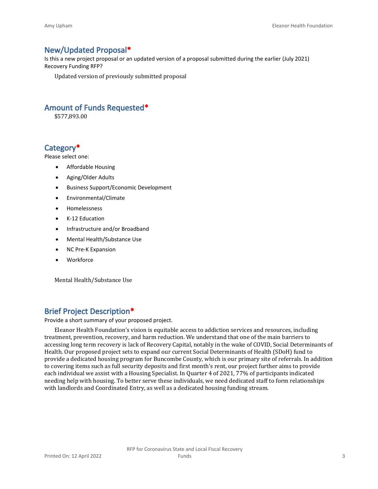## **New/Updated Proposal\***

Is this a new project proposal or an updated version of a proposal submitted during the earlier (July 2021) Recovery Funding RFP?

Updated version of previously submitted proposal

## **Amount of Funds Requested\***

\$577,893.00

## **Category\***

Please select one:

- Affordable Housing
- Aging/Older Adults
- Business Support/Economic Development
- Environmental/Climate
- Homelessness
- K-12 Education
- Infrastructure and/or Broadband
- Mental Health/Substance Use
- NC Pre-K Expansion
- Workforce

Mental Health/Substance Use

## **Brief Project Description\***

Provide a short summary of your proposed project.

Eleanor Health Foundation's vision is equitable access to addiction services and resources, including treatment, prevention, recovery, and harm reduction. We understand that one of the main barriers to accessing long term recovery is lack of Recovery Capital, notably in the wake of COVID, Social Determinants of Health. Our proposed project sets to expand our current Social Determinants of Health (SDoH) fund to provide a dedicated housing program for Buncombe County, which is our primary site of referrals. In addition to covering items such as full security deposits and first month's rent, our project further aims to provide each individual we assist with a Housing Specialist. In Quarter 4 of 2021, 77% of participants indicated needing help with housing. To better serve these individuals, we need dedicated staff to form relationships with landlords and Coordinated Entry, as well as a dedicated housing funding stream.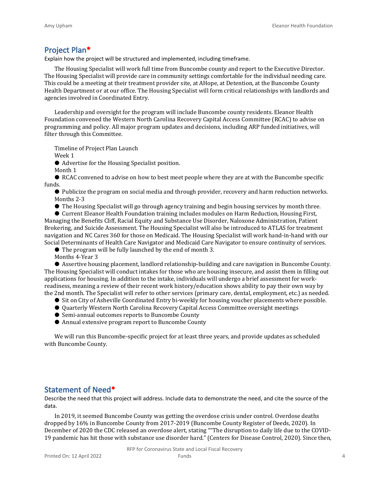### **Project Plan\***

Explain how the project will be structured and implemented, including timeframe.

The Housing Specialist will work full time from Buncombe county and report to the Executive Director. The Housing Specialist will provide care in community settings comfortable for the individual needing care. This could be a meeting at their treatment provider site, at AHope, at Detention, at the Buncombe County Health Department or at our office. The Housing Specialist will form critical relationships with landlords and agencies involved in Coordinated Entry.

Leadership and oversight for the program will include Buncombe county residents. Eleanor Health Foundation convened the Western North Carolina Recovery Capital Access Committee (RCAC) to advise on programming and policy. All major program updates and decisions, including ARP funded initiatives, will filter through this Committee.

Timeline of Project Plan Launch

Week 1

● Advertise for the Housing Specialist position.

Month 1

● RCAC convened to advise on how to best meet people where they are at with the Buncombe specific funds.

● Publicize the program on social media and through provider, recovery and harm reduction networks. Months 2-3

● The Housing Specialist will go through agency training and begin housing services by month three.

● Current Eleanor Health Foundation training includes modules on Harm Reduction, Housing First, Managing the Benefits Cliff, Racial Equity and Substance Use Disorder, Naloxone Administration, Patient Brokering, and Suicide Assessment. The Housing Specialist will also be introduced to ATLAS for treatment navigation and NC Cares 360 for those on Medicaid. The Housing Specialist will work hand-in-hand with our Social Determinants of Health Care Navigator and Medicaid Care Navigator to ensure continuity of services.

● The program will be fully launched by the end of month 3.

Months 4-Year 3

● Assertive housing placement, landlord relationship-building and care navigation in Buncombe County. The Housing Specialist will conduct intakes for those who are housing insecure, and assist them in filling out applications for housing. In addition to the intake, individuals will undergo a brief assessment for workreadiness, meaning a review of their recent work history/education shows ability to pay their own way by the 2nd month. The Specialist will refer to other services (primary care, dental, employment, etc.) as needed.

● Sit on City of Asheville Coordinated Entry bi-weekly for housing voucher placements where possible.

- Quarterly Western North Carolina Recovery Capital Access Committee oversight meetings
- Semi-annual outcomes reports to Buncombe County
- Annual extensive program report to Buncombe County

We will run this Buncombe-specific project for at least three years, and provide updates as scheduled with Buncombe County.

### **Statement of Need\***

Describe the need that this project will address. Include data to demonstrate the need, and cite the source of the data.

In 2019, it seemed Buncombe County was getting the overdose crisis under control. Overdose deaths dropped by 16% in Buncombe County from 2017-2019 (Buncombe County Register of Deeds, 2020). In December of 2020 the CDC released an overdose alert, stating ""The disruption to daily life due to the COVID-19 pandemic has hit those with substance use disorder hard." (Centers for Disease Control, 2020). Since then,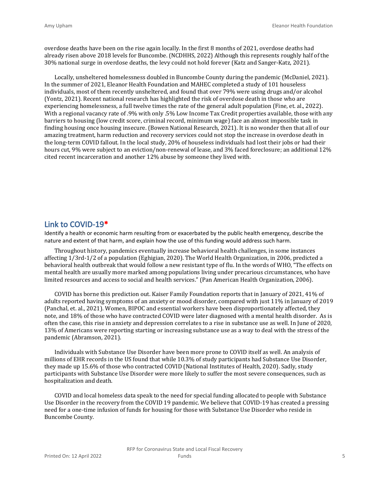overdose deaths have been on the rise again locally. In the first 8 months of 2021, overdose deaths had already risen above 2018 levels for Buncombe. (NCDHHS, 2022) Although this represents roughly half of the 30% national surge in overdose deaths, the levy could not hold forever (Katz and Sanger-Katz, 2021).

Locally, unsheltered homelessness doubled in Buncombe County during the pandemic (McDaniel, 2021). In the summer of 2021, Eleanor Health Foundation and MAHEC completed a study of 101 houseless individuals, most of them recently unsheltered, and found that over 79% were using drugs and/or alcohol (Yontz, 2021). Recent national research has highlighted the risk of overdose death in those who are experiencing homelessness, a full twelve times the rate of the general adult population (Fine, et. al., 2022). With a regional vacancy rate of .9% with only .5% Low Income Tax Credit properties available, those with any barriers to housing (low credit score, criminal record, minimum wage) face an almost impossible task in finding housing once housing insecure. (Bowen National Research, 2021). It is no wonder then that all of our amazing treatment, harm reduction and recovery services could not stop the increase in overdose death in the long-term COVID fallout. In the local study, 20% of houseless individuals had lost their jobs or had their hours cut, 9% were subject to an eviction/non-renewal of lease, and 3% faced foreclosure; an additional 12% cited recent incarceration and another 12% abuse by someone they lived with.

#### **Link to COVID-19\***

Identify a health or economic harm resulting from or exacerbated by the public health emergency, describe the nature and extent of that harm, and explain how the use of this funding would address such harm.

Throughout history, pandemics eventually increase behavioral health challenges, in some instances affecting 1/3rd-1/2 of a population (Eghigian, 2020). The World Health Organization, in 2006, predicted a behavioral health outbreak that would follow a new resistant type of flu. In the words of WHO, "The effects on mental health are usually more marked among populations living under precarious circumstances, who have limited resources and access to social and health services." (Pan American Health Organization, 2006).

COVID has borne this prediction out. Kaiser Family Foundation reports that in January of 2021, 41% of adults reported having symptoms of an anxiety or mood disorder, compared with just 11% in January of 2019 (Panchal, et. al., 2021). Women, BIPOC and essential workers have been disproportionately affected, they note, and 18% of those who have contracted COVID were later diagnosed with a mental health disorder. As is often the case, this rise in anxiety and depression correlates to a rise in substance use as well. In June of 2020, 13% of Americans were reporting starting or increasing substance use as a way to deal with the stress of the pandemic (Abramson, 2021).

Individuals with Substance Use Disorder have been more prone to COVID itself as well. An analysis of millions of EHR records in the US found that while 10.3% of study participants had Substance Use Disorder, they made up 15.6% of those who contracted COVID (National Institutes of Health, 2020). Sadly, study participants with Substance Use Disorder were more likely to suffer the most severe consequences, such as hospitalization and death.

COVID and local homeless data speak to the need for special funding allocated to people with Substance Use Disorder in the recovery from the COVID 19 pandemic. We believe that COVID-19 has created a pressing need for a one-time infusion of funds for housing for those with Substance Use Disorder who reside in Buncombe County.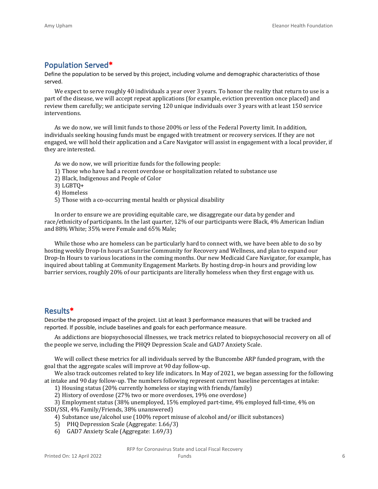## **Population Served\***

Define the population to be served by this project, including volume and demographic characteristics of those served.

We expect to serve roughly 40 individuals a year over 3 years. To honor the reality that return to use is a part of the disease, we will accept repeat applications (for example, eviction prevention once placed) and review them carefully; we anticipate serving 120 unique individuals over 3 years with at least 150 service interventions.

As we do now, we will limit funds to those 200% or less of the Federal Poverty limit. In addition, individuals seeking housing funds must be engaged with treatment or recovery services. If they are not engaged, we will hold their application and a Care Navigator will assist in engagement with a local provider, if they are interested.

As we do now, we will prioritize funds for the following people:

- 1) Those who have had a recent overdose or hospitalization related to substance use
- 2) Black, Indigenous and People of Color
- 3) LGBTQ+
- 4) Homeless
- 5) Those with a co-occurring mental health or physical disability

In order to ensure we are providing equitable care, we disaggregate our data by gender and race/ethnicity of participants. In the last quarter, 12% of our participants were Black, 4% American Indian and 88% White; 35% were Female and 65% Male;

While those who are homeless can be particularly hard to connect with, we have been able to do so by hosting weekly Drop-In hours at Sunrise Community for Recovery and Wellness, and plan to expand our Drop-In Hours to various locations in the coming months. Our new Medicaid Care Navigator, for example, has inquired about tabling at Community Engagement Markets. By hosting drop-in hours and providing low barrier services, roughly 20% of our participants are literally homeless when they first engage with us.

## **Results\***

Describe the proposed impact of the project. List at least 3 performance measures that will be tracked and reported. If possible, include baselines and goals for each performance measure.

As addictions are biopsychosocial illnesses, we track metrics related to biopsychosocial recovery on all of the people we serve, including the PHQ9 Depression Scale and GAD7 Anxiety Scale.

We will collect these metrics for all individuals served by the Buncombe ARP funded program, with the goal that the aggregate scales will improve at 90 day follow-up.

We also track outcomes related to key life indicators. In May of 2021, we began assessing for the following at intake and 90 day follow-up. The numbers following represent current baseline percentages at intake:

1) Housing status (20% currently homeless or staying with friends/family)

2) History of overdose (27% two or more overdoses, 19% one overdose)

3) Employment status (38% unemployed, 15% employed part-time, 4% employed full-time, 4% on SSDI/SSI, 4% Family/Friends, 38% unanswered)

4) Substance use/alcohol use (100% report misuse of alcohol and/or illicit substances)

5) PHQ Depression Scale (Aggregate: 1.66/3)

6) GAD7 Anxiety Scale (Aggregate: 1.69/3)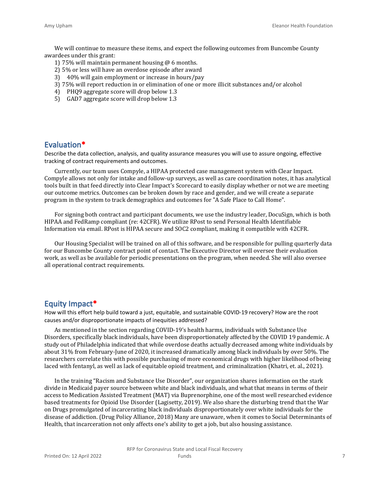We will continue to measure these items, and expect the following outcomes from Buncombe County awardees under this grant:

- 1) 75% will maintain permanent housing @ 6 months.
- 2) 5% or less will have an overdose episode after award
- 3) 40% will gain employment or increase in hours/pay
- 3) 75% will report reduction in or elimination of one or more illicit substances and/or alcohol
- 4) PHQ9 aggregate score will drop below 1.3
- 5) GAD7 aggregate score will drop below 1.3

### **Evaluation\***

Describe the data collection, analysis, and quality assurance measures you will use to assure ongoing, effective tracking of contract requirements and outcomes.

Currently, our team uses Compyle, a HIPAA protected case management system with Clear Impact. Compyle allows not only for intake and follow-up surveys, as well as care coordination notes, it has analytical tools built in that feed directly into Clear Impact's Scorecard to easily display whether or not we are meeting our outcome metrics. Outcomes can be broken down by race and gender, and we will create a separate program in the system to track demographics and outcomes for "A Safe Place to Call Home".

For signing both contract and participant documents, we use the industry leader, DocuSign, which is both HIPAA and FedRamp compliant (re: 42CFR). We utilize RPost to send Personal Health Identifiable Information via email. RPost is HIPAA secure and SOC2 compliant, making it compatible with 42CFR.

Our Housing Specialist will be trained on all of this software, and be responsible for pulling quarterly data for our Buncombe County contract point of contact. The Executive Director will oversee their evaluation work, as well as be available for periodic presentations on the program, when needed. She will also oversee all operational contract requirements.

#### **Equity Impact\***

How will this effort help build toward a just, equitable, and sustainable COVID-19 recovery? How are the root causes and/or disproportionate impacts of inequities addressed?

As mentioned in the section regarding COVID-19's health harms, individuals with Substance Use Disorders, specifically black individuals, have been disproportionately affected by the COVID 19 pandemic. A study out of Philadelphia indicated that while overdose deaths actually decreased among white individuals by about 31% from February-June of 2020, it increased dramatically among black individuals by over 50%. The researchers correlate this with possible purchasing of more economical drugs with higher likelihood of being laced with fentanyl, as well as lack of equitable opioid treatment, and criminalization (Khatri, et. al., 2021).

In the training "Racism and Substance Use Disorder", our organization shares information on the stark divide in Medicaid payer source between white and black individuals, and what that means in terms of their access to Medication Assisted Treatment (MAT) via Buprenorphine, one of the most well researched evidence based treatments for Opioid Use Disorder (Lagisetty, 2019). We also share the disturbing trend that the War on Drugs promulgated of incarcerating black individuals disproportionately over white individuals for the disease of addiction. (Drug Policy Alliance, 2018) Many are unaware, when it comes to Social Determinants of Health, that incarceration not only affects one's ability to get a job, but also housing assistance.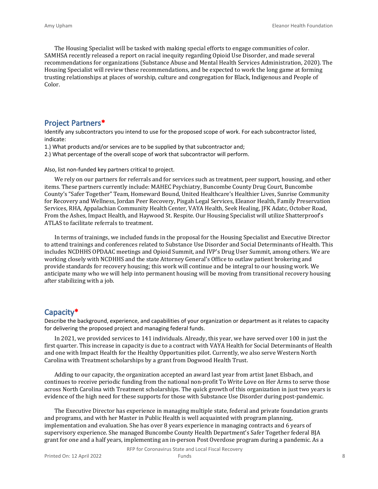The Housing Specialist will be tasked with making special efforts to engage communities of color. SAMHSA recently released a report on racial inequity regarding Opioid Use Disorder, and made several recommendations for organizations (Substance Abuse and Mental Health Services Administration, 2020). The Housing Specialist will review these recommendations, and be expected to work the long game at forming trusting relationships at places of worship, culture and congregation for Black, Indigenous and People of Color.

### **Project Partners\***

Identify any subcontractors you intend to use for the proposed scope of work. For each subcontractor listed, indicate:

1.) What products and/or services are to be supplied by that subcontractor and;

2.) What percentage of the overall scope of work that subcontractor will perform.

Also, list non-funded key partners critical to project.

We rely on our partners for referrals and for services such as treatment, peer support, housing, and other items. These partners currently include: MAHEC Psychiatry, Buncombe County Drug Court, Buncombe County's "Safer Together" Team, Homeward Bound, United Healthcare's Healthier Lives, Sunrise Community for Recovery and Wellness, Jordan Peer Recovery, Pisgah Legal Services, Eleanor Health, Family Preservation Services, RHA, Appalachian Community Health Center, VAYA Health, Seek Healing, JFK Adatc, October Road, From the Ashes, Impact Health, and Haywood St. Respite. Our Housing Specialist will utilize Shatterproof's ATLAS to facilitate referrals to treatment.

In terms of trainings, we included funds in the proposal for the Housing Specialist and Executive Director to attend trainings and conferences related to Substance Use Disorder and Social Determinants of Health. This includes NCDHHS OPDAAC meetings and Opioid Summit, and IVP's Drug User Summit, among others. We are working closely with NCDHHS and the state Attorney General's Office to outlaw patient brokering and provide standards for recovery housing; this work will continue and be integral to our housing work. We anticipate many who we will help into permanent housing will be moving from transitional recovery housing after stabilizing with a job.

### **Capacity\***

Describe the background, experience, and capabilities of your organization or department as it relates to capacity for delivering the proposed project and managing federal funds.

In 2021, we provided services to 141 individuals. Already, this year, we have served over 100 in just the first quarter. This increase in capacity is due to a contract with VAYA Health for Social Determinants of Health and one with Impact Health for the Healthy Opportunities pilot. Currently, we also serve Western North Carolina with Treatment scholarships by a grant from Dogwood Health Trust.

Adding to our capacity, the organization accepted an award last year from artist Janet Elsbach, and continues to receive periodic funding from the national non-profit To Write Love on Her Arms to serve those across North Carolina with Treatment scholarships. The quick growth of this organization in just two years is evidence of the high need for these supports for those with Substance Use Disorder during post-pandemic.

The Executive Director has experience in managing multiple state, federal and private foundation grants and programs, and with her Master in Public Health is well acquainted with program planning, implementation and evaluation. She has over 8 years experience in managing contracts and 6 years of supervisory experience. She managed Buncombe County Health Department's Safer Together federal BJA grant for one and a half years, implementing an in-person Post Overdose program during a pandemic. As a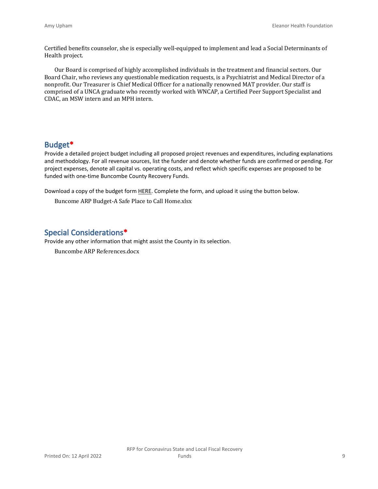Certified benefits counselor, she is especially well-equipped to implement and lead a Social Determinants of Health project.

Our Board is comprised of highly accomplished individuals in the treatment and financial sectors. Our Board Chair, who reviews any questionable medication requests, is a Psychiatrist and Medical Director of a nonprofit. Our Treasurer is Chief Medical Officer for a nationally renowned MAT provider. Our staff is comprised of a UNCA graduate who recently worked with WNCAP, a Certified Peer Support Specialist and CDAC, an MSW intern and an MPH intern.

## **Budget\***

Provide a detailed project budget including all proposed project revenues and expenditures, including explanations and methodology. For all revenue sources, list the funder and denote whether funds are confirmed or pending. For project expenses, denote all capital vs. operating costs, and reflect which specific expenses are proposed to be funded with one-time Buncombe County Recovery Funds.

Download a copy of the budget form [HERE](https://buncombecounty.org/common/community-investment/grants/early-childhood-education/Recovery-Funds-budget-template.xlsx). Complete the form, and upload it using the button below.

Buncome ARP Budget-A Safe Place to Call Home.xlsx

## **Special Considerations\***

Provide any other information that might assist the County in its selection. Buncombe ARP References.docx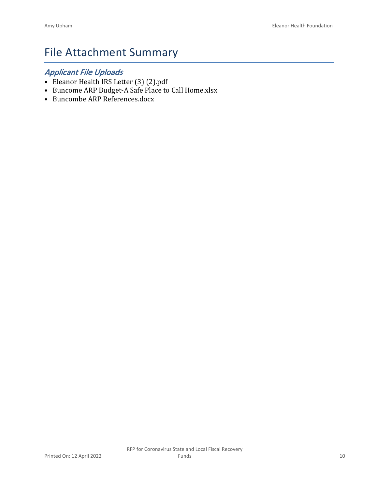# File Attachment Summary

## *Applicant File Uploads*

- Eleanor Health IRS Letter (3) (2).pdf
- Buncome ARP Budget-A Safe Place to Call Home.xlsx
- Buncombe ARP References.docx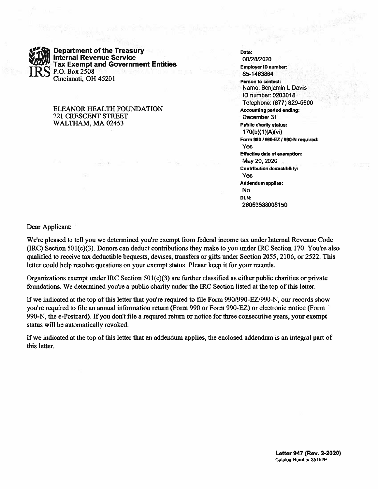IRS

Department of the Treasury Internal Revenue Service Tax Exempt and Government Entities P.O. Box 2508 Cincinnati, OH 45201

#### ELEANOR HEALTH FOUNDATION 221 CRESCENT STREET WALTHAM, MA 02453

Date: 08/28/2020 Employer ID number: 85-1463864 Person to contact: Name: Benjamin L Davis ID number: 0203018 Telephone: (877) 829-5500 Accounting period ending: December 31 Public charity status: 1 70(b)(1 )(A)(vi) Form 9901 990-EZ 1990-N required: Yes Effective date of exemption: May 20, 2020 Contribution deductibility: Yes Addendum applies: No DLN: 26053588008150

**A the State of District** 

Dear Applicant:

We're pleased to tell you we determined you're exemp<sup>t</sup> from federal income tax under Internal Revenue Code (IRC) Section 501(c)(3). Donors can deduct contributions they make to you under IRC Section 170. You're also qualified to receive tax deductible bequests, devises, transfers or gifts under Section 2055, 2106, or 2522. This letter could help resolve questions on your exemp<sup>t</sup> status. Please keep it for your records.

Organizations exemp<sup>t</sup> under IRC Section 501(c)(3) are further classified as either public charities or private foundations. We determined you're <sup>a</sup> public charity under the IRC Section listed at the top of this letter.

If we indicated at the top of this letter that you're required to file Form 990/990-EZ/990-N, our records show you're required to file an annual information return (Form 990 or Form 990-EZ) or electronic notice (Form 990-N, the e-Postcard). If you don't file <sup>a</sup> required return or notice for three consecutive years, your exemp<sup>t</sup> status will be automatically revoked.

If we indicated at the top of this letter that an addendum applies, the enclosed addendum is an integral par<sup>t</sup> of this letter.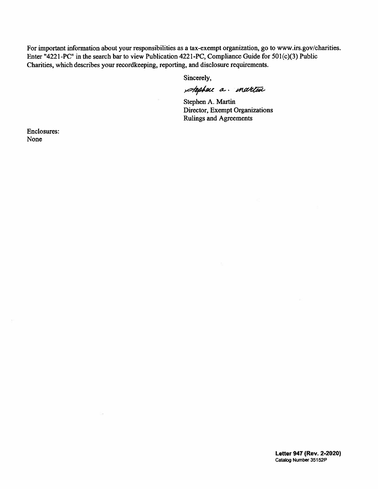For important information about your responsibilities as <sup>a</sup> tax-exempt organization, go to www.irs.gov/charities. Enter "4221-PC" in the search bar to view Publication 4221-PC, Compliance Guide for 501(c)(3) Public Charities, which describes your recordkeeping, reporting, and disclosure requirements.

Sincerely,

stephen a martin

Stephen A. Martin Director, Exempt Organizations Rulings and Agreements

Enclosures: None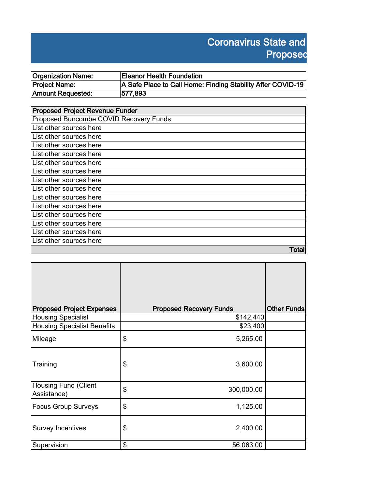# **Coronavirus State and Proposed**

| Organization Name: | <b>Eleanor Health Foundation</b>                            |
|--------------------|-------------------------------------------------------------|
| Project Name:      | A Safe Place to Call Home: Finding Stability After COVID-19 |
| Amount Requested:  | 577,893                                                     |

| <b>Proposed Project Revenue Funder</b> |  |  |
|----------------------------------------|--|--|
| Proposed Buncombe COVID Recovery Funds |  |  |
| List other sources here                |  |  |
| List other sources here                |  |  |
| List other sources here                |  |  |
| List other sources here                |  |  |
| List other sources here                |  |  |
| List other sources here                |  |  |
| List other sources here                |  |  |
| List other sources here                |  |  |
| List other sources here                |  |  |
| List other sources here                |  |  |
| List other sources here                |  |  |
| List other sources here                |  |  |
| List other sources here                |  |  |
| List other sources here                |  |  |
| Total                                  |  |  |

| <b>Proposed Project Expenses</b>           | <b>Proposed Recovery Funds</b> | <b>Other Funds</b> |
|--------------------------------------------|--------------------------------|--------------------|
| <b>Housing Specialist</b>                  | \$142,440                      |                    |
| <b>Housing Specialist Benefits</b>         | \$23,400                       |                    |
| Mileage                                    | \$<br>5,265.00                 |                    |
| Training                                   | 3,600.00<br>\$                 |                    |
| <b>Housing Fund (Client</b><br>Assistance) | \$<br>300,000.00               |                    |
| <b>Focus Group Surveys</b>                 | \$<br>1,125.00                 |                    |
| <b>Survey Incentives</b>                   | \$<br>2,400.00                 |                    |
| Supervision                                | \$<br>56,063.00                |                    |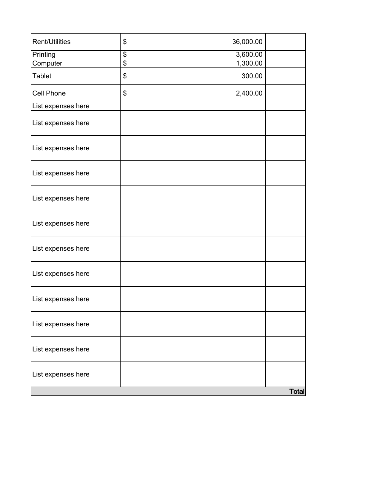| <b>Rent/Utilities</b> | \$<br>36,000.00             |              |
|-----------------------|-----------------------------|--------------|
| Printing              | $\overline{\$}$<br>3,600.00 |              |
| Computer              | $\overline{\$}$<br>1,300.00 |              |
| <b>Tablet</b>         | 300.00<br>\$                |              |
| Cell Phone            | \$<br>2,400.00              |              |
| List expenses here    |                             |              |
| List expenses here    |                             |              |
| List expenses here    |                             |              |
| List expenses here    |                             |              |
| List expenses here    |                             |              |
| List expenses here    |                             |              |
| List expenses here    |                             |              |
| List expenses here    |                             |              |
| List expenses here    |                             |              |
| List expenses here    |                             |              |
| List expenses here    |                             |              |
| List expenses here    |                             |              |
|                       |                             | <b>Total</b> |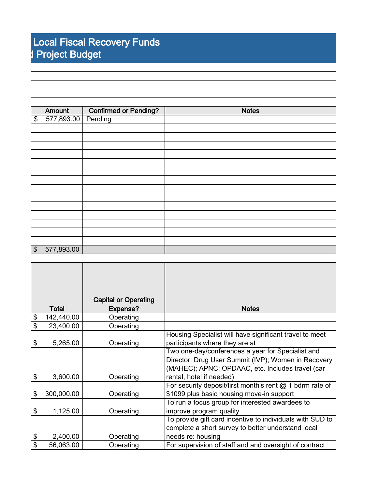|                   | Amount             | <b>Confirmed or Pending?</b> | <b>Notes</b> |
|-------------------|--------------------|------------------------------|--------------|
| $\boldsymbol{\$}$ | 577,893.00 Pending |                              |              |
|                   |                    |                              |              |
|                   |                    |                              |              |
|                   |                    |                              |              |
|                   |                    |                              |              |
|                   |                    |                              |              |
|                   |                    |                              |              |
|                   |                    |                              |              |
|                   |                    |                              |              |
|                   |                    |                              |              |
|                   |                    |                              |              |
|                   |                    |                              |              |
|                   |                    |                              |              |
|                   |                    |                              |              |
|                   |                    |                              |              |
| $\sqrt{ }$        | 577,893.00         |                              |              |

|                  | <b>Capital or Operating</b> |                                                            |
|------------------|-----------------------------|------------------------------------------------------------|
| <b>Total</b>     | Expense?                    | <b>Notes</b>                                               |
| \$<br>142,440.00 | Operating                   |                                                            |
| \$<br>23,400.00  | Operating                   |                                                            |
|                  |                             | Housing Specialist will have significant travel to meet    |
| \$<br>5,265.00   | Operating                   | participants where they are at                             |
|                  |                             | Two one-day/conferences a year for Specialist and          |
|                  |                             | Director: Drug User Summit (IVP); Women in Recovery        |
|                  |                             | (MAHEC); APNC; OPDAAC, etc. Includes travel (car           |
| \$<br>3,600.00   | Operating                   | rental, hotel if needed)                                   |
|                  |                             | For security deposit/first month's rent $@$ 1 bdrm rate of |
| \$<br>300,000.00 | Operating                   | \$1099 plus basic housing move-in support                  |
|                  |                             | To run a focus group for interested awardees to            |
| \$<br>1,125.00   | Operating                   | improve program quality                                    |
|                  |                             | To provide gift card incentive to individuals with SUD to  |
|                  |                             | complete a short survey to better understand local         |
| \$<br>2,400.00   | Operating                   | needs re: housing                                          |
| \$<br>56,063.00  | Operating                   | For supervision of staff and and oversight of contract     |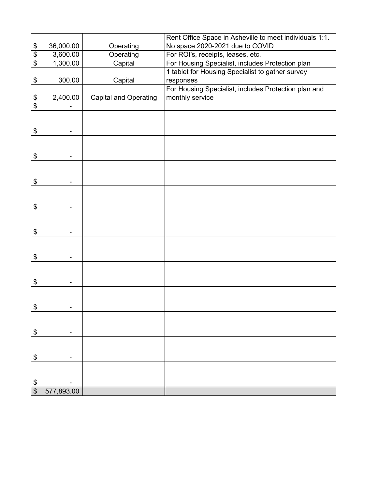|                 |            |                              | Rent Office Space in Asheville to meet individuals 1:1. |
|-----------------|------------|------------------------------|---------------------------------------------------------|
|                 | 36,000.00  | Operating                    | No space 2020-2021 due to COVID                         |
| $\frac{6}{9}$   | 3,600.00   | Operating                    | For ROI's, receipts, leases, etc.                       |
|                 | 1,300.00   | Capital                      | For Housing Specialist, includes Protection plan        |
|                 |            |                              | 1 tablet for Housing Specialist to gather survey        |
| \$              | 300.00     | Capital                      | responses                                               |
|                 |            |                              | For Housing Specialist, includes Protection plan and    |
| \$              | 2,400.00   | <b>Capital and Operating</b> | monthly service                                         |
| $\overline{\$}$ |            |                              |                                                         |
|                 |            |                              |                                                         |
|                 |            |                              |                                                         |
| \$              |            |                              |                                                         |
|                 |            |                              |                                                         |
|                 |            |                              |                                                         |
| \$              |            |                              |                                                         |
|                 |            |                              |                                                         |
|                 |            |                              |                                                         |
| \$              |            |                              |                                                         |
|                 |            |                              |                                                         |
|                 |            |                              |                                                         |
| \$              |            |                              |                                                         |
|                 |            |                              |                                                         |
| \$              |            |                              |                                                         |
|                 |            |                              |                                                         |
|                 |            |                              |                                                         |
| \$              |            |                              |                                                         |
|                 |            |                              |                                                         |
|                 |            |                              |                                                         |
| \$              |            |                              |                                                         |
|                 |            |                              |                                                         |
|                 |            |                              |                                                         |
| \$              |            |                              |                                                         |
|                 |            |                              |                                                         |
|                 |            |                              |                                                         |
| \$              |            |                              |                                                         |
|                 |            |                              |                                                         |
|                 |            |                              |                                                         |
| \$              |            |                              |                                                         |
|                 |            |                              |                                                         |
|                 |            |                              |                                                         |
| $\frac{1}{2}$   |            |                              |                                                         |
| $\overline{\$}$ | 577,893.00 |                              |                                                         |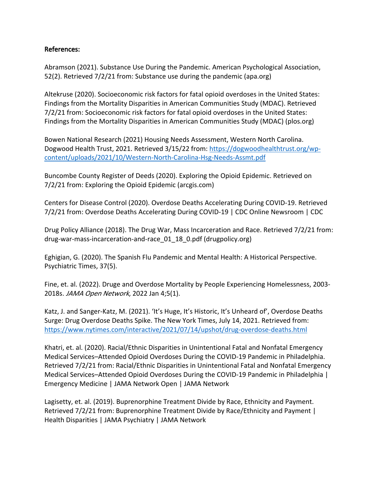## **References:**

Abramson (2021). Substance Use During the Pandemic. American Psychological Association, 52(2). Retrieved 7/2/21 from: Substance use during the pandemic (apa.org)

Altekruse (2020). Socioeconomic risk factors for fatal opioid overdoses in the United States: Findings from the Mortality Disparities in American Communities Study (MDAC). Retrieved 7/2/21 from: Socioeconomic risk factors for fatal opioid overdoses in the United States: Findings from the Mortality Disparities in American Communities Study (MDAC) (plos.org)

Bowen National Research (2021) Housing Needs Assessment, Western North Carolina. Dogwood Health Trust, 2021. Retrieved 3/15/22 from: [https://dogwoodhealthtrust.org/wp](https://dogwoodhealthtrust.org/wp-content/uploads/2021/10/Western-North-Carolina-Hsg-Needs-Assmt.pdf)[content/uploads/2021/10/Western-North-Carolina-Hsg-Needs-Assmt.pdf](https://dogwoodhealthtrust.org/wp-content/uploads/2021/10/Western-North-Carolina-Hsg-Needs-Assmt.pdf)

Buncombe County Register of Deeds (2020). Exploring the Opioid Epidemic. Retrieved on 7/2/21 from: Exploring the Opioid Epidemic (arcgis.com)

Centers for Disease Control (2020). Overdose Deaths Accelerating During COVID-19. Retrieved 7/2/21 from: Overdose Deaths Accelerating During COVID-19 | CDC Online Newsroom | CDC

Drug Policy Alliance (2018). The Drug War, Mass Incarceration and Race. Retrieved 7/2/21 from: drug-war-mass-incarceration-and-race 01 18 0.pdf (drugpolicy.org)

Eghigian, G. (2020). The Spanish Flu Pandemic and Mental Health: A Historical Perspective. Psychiatric Times, 37(5).

Fine, et. al. (2022). Druge and Overdose Mortality by People Experiencing Homelessness, 2003- 2018s. *JAMA Open Network*, 2022 Jan 4;5(1).

Katz, J. and Sanger-Katz, M. (2021). 'It's Huge, It's Historic, It's Unheard of', Overdose Deaths Surge: Drug Overdose Deaths Spike. The New York Times, July 14, 2021. Retrieved from: <https://www.nytimes.com/interactive/2021/07/14/upshot/drug-overdose-deaths.html>

Khatri, et. al. (2020). Racial/Ethnic Disparities in Unintentional Fatal and Nonfatal Emergency Medical Services–Attended Opioid Overdoses During the COVID-19 Pandemic in Philadelphia. Retrieved 7/2/21 from: Racial/Ethnic Disparities in Unintentional Fatal and Nonfatal Emergency Medical Services–Attended Opioid Overdoses During the COVID-19 Pandemic in Philadelphia | Emergency Medicine | JAMA Network Open | JAMA Network

Lagisetty, et. al. (2019). Buprenorphine Treatment Divide by Race, Ethnicity and Payment. Retrieved 7/2/21 from: Buprenorphine Treatment Divide by Race/Ethnicity and Payment | Health Disparities | JAMA Psychiatry | JAMA Network